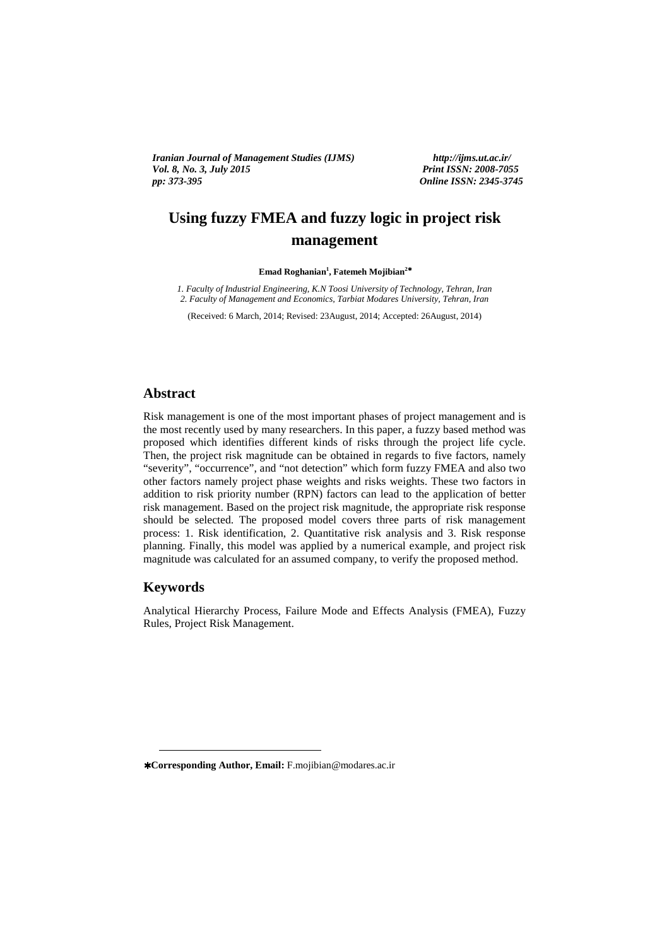Vol. 8, No. 3, July 2015<br>pp: 373-395 *Iranian Journal of Management Studies (IJMS) http://ijms.ut.ac.ir/* 

*Print ISSN: 2008-7055 pp: 373-395 Online ISSN: 2345-3745* 

# **Using fuzzy FMEA and fuzzy logic in project risk management**

**Emad Roghanian<sup>1</sup> , Fatemeh Mojibian<sup>2</sup>**<sup>∗</sup>

*1. Faculty of Industrial Engineering, K.N Toosi University of Technology, Tehran, Iran 2. Faculty of Management and Economics, Tarbiat Modares University, Tehran, Iran* 

(Received: 6 March, 2014; Revised: 23August, 2014; Accepted: 26August, 2014)

## **Abstract**

Risk management is one of the most important phases of project management and is the most recently used by many researchers. In this paper, a fuzzy based method was proposed which identifies different kinds of risks through the project life cycle. Then, the project risk magnitude can be obtained in regards to five factors, namely "severity", "occurrence", and "not detection" which form fuzzy FMEA and also two other factors namely project phase weights and risks weights. These two factors in addition to risk priority number (RPN) factors can lead to the application of better risk management. Based on the project risk magnitude, the appropriate risk response should be selected. The proposed model covers three parts of risk management process: 1. Risk identification, 2. Quantitative risk analysis and 3. Risk response planning. Finally, this model was applied by a numerical example, and project risk magnitude was calculated for an assumed company, to verify the proposed method.

#### **Keywords**

<u>.</u>

Analytical Hierarchy Process, Failure Mode and Effects Analysis (FMEA), Fuzzy Rules, Project Risk Management.

<sup>∗</sup> **Corresponding Author, Email:** F.mojibian@modares.ac.ir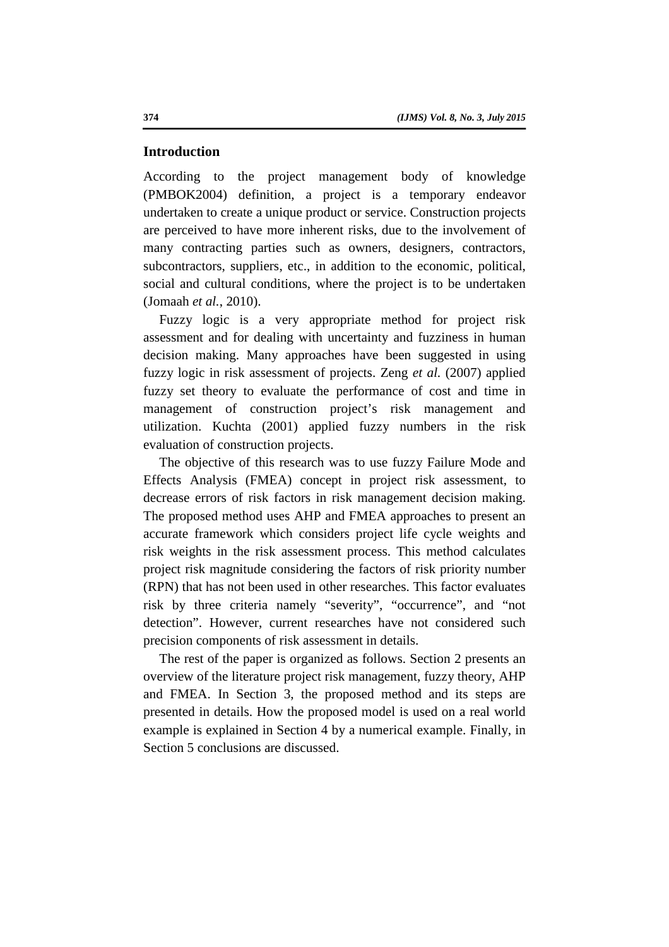#### **Introduction**

According to the project management body of knowledge (PMBOK2004) definition, a project is a temporary endeavor undertaken to create a unique product or service. Construction projects are perceived to have more inherent risks, due to the involvement of many contracting parties such as owners, designers, contractors, subcontractors, suppliers, etc., in addition to the economic, political, social and cultural conditions, where the project is to be undertaken (Jomaah *et al.*, 2010).

Fuzzy logic is a very appropriate method for project risk assessment and for dealing with uncertainty and fuzziness in human decision making. Many approaches have been suggested in using fuzzy logic in risk assessment of projects. Zeng *et al.* (2007) applied fuzzy set theory to evaluate the performance of cost and time in management of construction project's risk management and utilization. Kuchta (2001) applied fuzzy numbers in the risk evaluation of construction projects.

The objective of this research was to use fuzzy Failure Mode and Effects Analysis (FMEA) concept in project risk assessment, to decrease errors of risk factors in risk management decision making. The proposed method uses AHP and FMEA approaches to present an accurate framework which considers project life cycle weights and risk weights in the risk assessment process. This method calculates project risk magnitude considering the factors of risk priority number (RPN) that has not been used in other researches. This factor evaluates risk by three criteria namely "severity", "occurrence", and "not detection". However, current researches have not considered such precision components of risk assessment in details.

The rest of the paper is organized as follows. Section 2 presents an overview of the literature project risk management, fuzzy theory, AHP and FMEA. In Section 3, the proposed method and its steps are presented in details. How the proposed model is used on a real world example is explained in Section 4 by a numerical example. Finally, in Section 5 conclusions are discussed.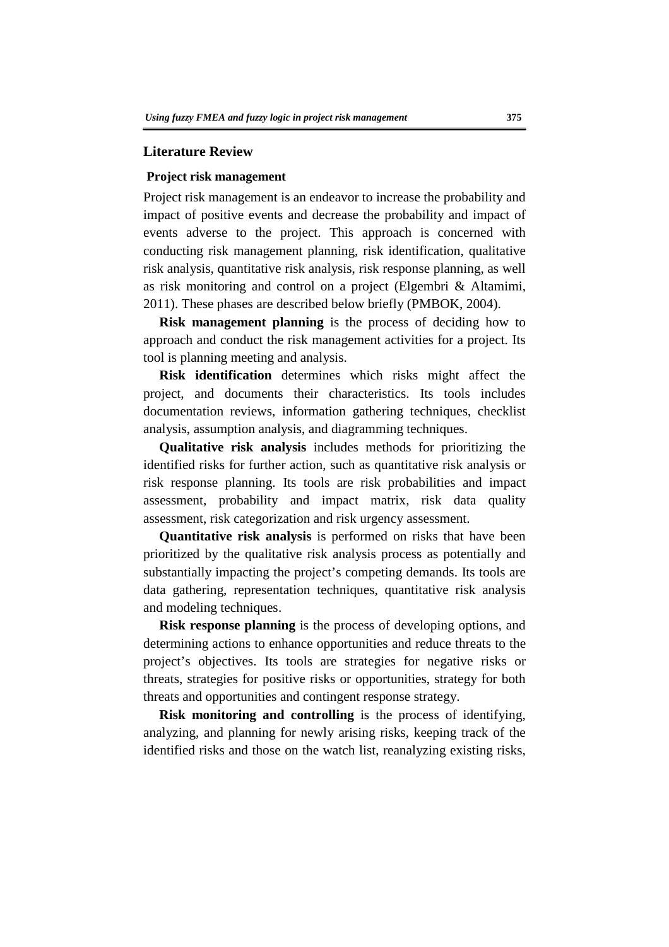#### **Literature Review**

#### **Project risk management**

Project risk management is an endeavor to increase the probability and impact of positive events and decrease the probability and impact of events adverse to the project. This approach is concerned with conducting risk management planning, risk identification, qualitative risk analysis, quantitative risk analysis, risk response planning, as well as risk monitoring and control on a project (Elgembri & Altamimi, 2011). These phases are described below briefly (PMBOK, 2004).

**Risk management planning** is the process of deciding how to approach and conduct the risk management activities for a project. Its tool is planning meeting and analysis.

**Risk identification** determines which risks might affect the project, and documents their characteristics. Its tools includes documentation reviews, information gathering techniques, checklist analysis, assumption analysis, and diagramming techniques.

**Qualitative risk analysis** includes methods for prioritizing the identified risks for further action, such as quantitative risk analysis or risk response planning. Its tools are risk probabilities and impact assessment, probability and impact matrix, risk data quality assessment, risk categorization and risk urgency assessment.

**Quantitative risk analysis** is performed on risks that have been prioritized by the qualitative risk analysis process as potentially and substantially impacting the project's competing demands. Its tools are data gathering, representation techniques, quantitative risk analysis and modeling techniques.

**Risk response planning** is the process of developing options, and determining actions to enhance opportunities and reduce threats to the project's objectives. Its tools are strategies for negative risks or threats, strategies for positive risks or opportunities, strategy for both threats and opportunities and contingent response strategy.

**Risk monitoring and controlling** is the process of identifying, analyzing, and planning for newly arising risks, keeping track of the identified risks and those on the watch list, reanalyzing existing risks,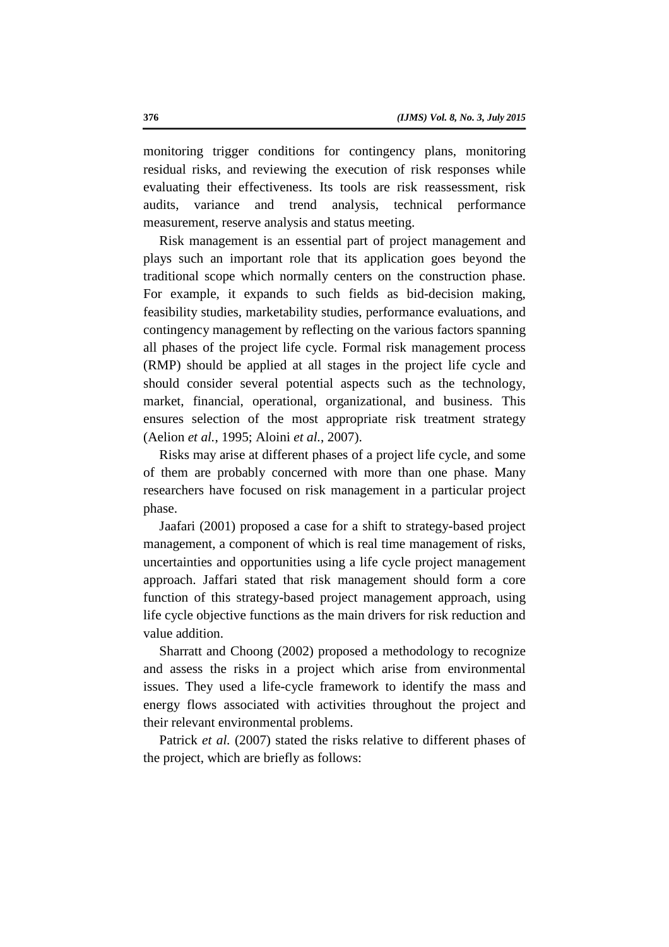monitoring trigger conditions for contingency plans, monitoring residual risks, and reviewing the execution of risk responses while evaluating their effectiveness. Its tools are risk reassessment, risk audits, variance and trend analysis, technical performance measurement, reserve analysis and status meeting.

Risk management is an essential part of project management and plays such an important role that its application goes beyond the traditional scope which normally centers on the construction phase. For example, it expands to such fields as bid-decision making, feasibility studies, marketability studies, performance evaluations, and contingency management by reflecting on the various factors spanning all phases of the project life cycle. Formal risk management process (RMP) should be applied at all stages in the project life cycle and should consider several potential aspects such as the technology, market, financial, operational, organizational, and business. This ensures selection of the most appropriate risk treatment strategy (Aelion *et al.*, 1995; Aloini *et al.*, 2007).

Risks may arise at different phases of a project life cycle, and some of them are probably concerned with more than one phase. Many researchers have focused on risk management in a particular project phase.

Jaafari (2001) proposed a case for a shift to strategy-based project management, a component of which is real time management of risks, uncertainties and opportunities using a life cycle project management approach. Jaffari stated that risk management should form a core function of this strategy-based project management approach, using life cycle objective functions as the main drivers for risk reduction and value addition.

Sharratt and Choong (2002) proposed a methodology to recognize and assess the risks in a project which arise from environmental issues. They used a life-cycle framework to identify the mass and energy flows associated with activities throughout the project and their relevant environmental problems.

Patrick *et al.* (2007) stated the risks relative to different phases of the project, which are briefly as follows: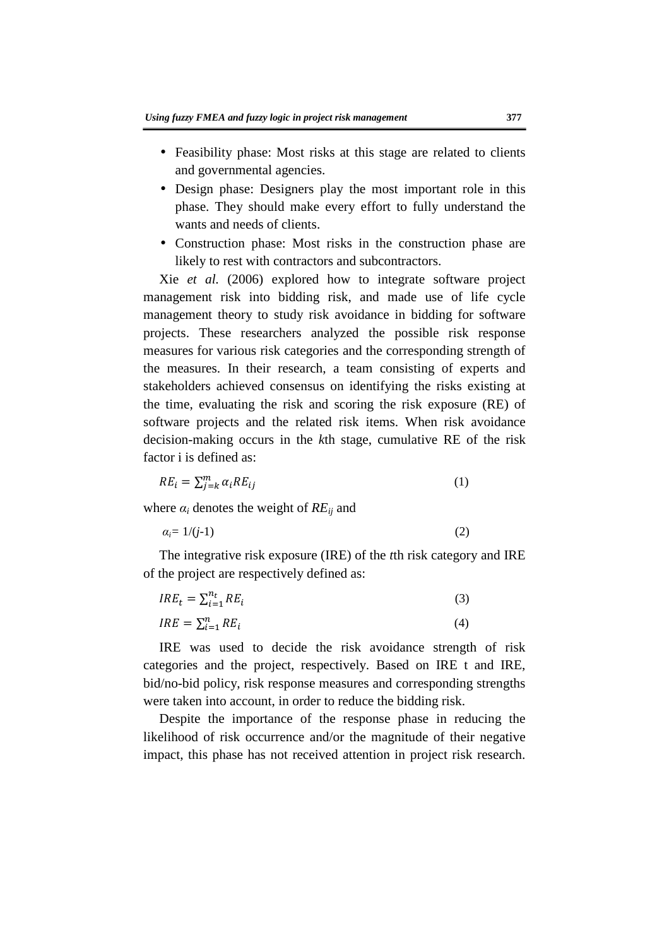- Feasibility phase: Most risks at this stage are related to clients and governmental agencies.
- Design phase: Designers play the most important role in this phase. They should make every effort to fully understand the wants and needs of clients.
- Construction phase: Most risks in the construction phase are likely to rest with contractors and subcontractors.

Xie *et al.* (2006) explored how to integrate software project management risk into bidding risk, and made use of life cycle management theory to study risk avoidance in bidding for software projects. These researchers analyzed the possible risk response measures for various risk categories and the corresponding strength of the measures. In their research, a team consisting of experts and stakeholders achieved consensus on identifying the risks existing at the time, evaluating the risk and scoring the risk exposure (RE) of software projects and the related risk items. When risk avoidance decision-making occurs in the *k*th stage, cumulative RE of the risk factor i is defined as:

$$
RE_i = \sum_{j=k}^{m} \alpha_i RE_{ij} \tag{1}
$$

where  $\alpha_i$  denotes the weight of  $RE_{ij}$  and

$$
\alpha_i = 1/(j-1) \tag{2}
$$

The integrative risk exposure (IRE) of the *t*th risk category and IRE of the project are respectively defined as:

$$
IRE_t = \sum_{i=1}^{n_t} RE_i \tag{3}
$$

$$
IRE = \sum_{i=1}^{n} RE_i \tag{4}
$$

IRE was used to decide the risk avoidance strength of risk categories and the project, respectively. Based on IRE t and IRE, bid/no-bid policy, risk response measures and corresponding strengths were taken into account, in order to reduce the bidding risk.

Despite the importance of the response phase in reducing the likelihood of risk occurrence and/or the magnitude of their negative impact, this phase has not received attention in project risk research.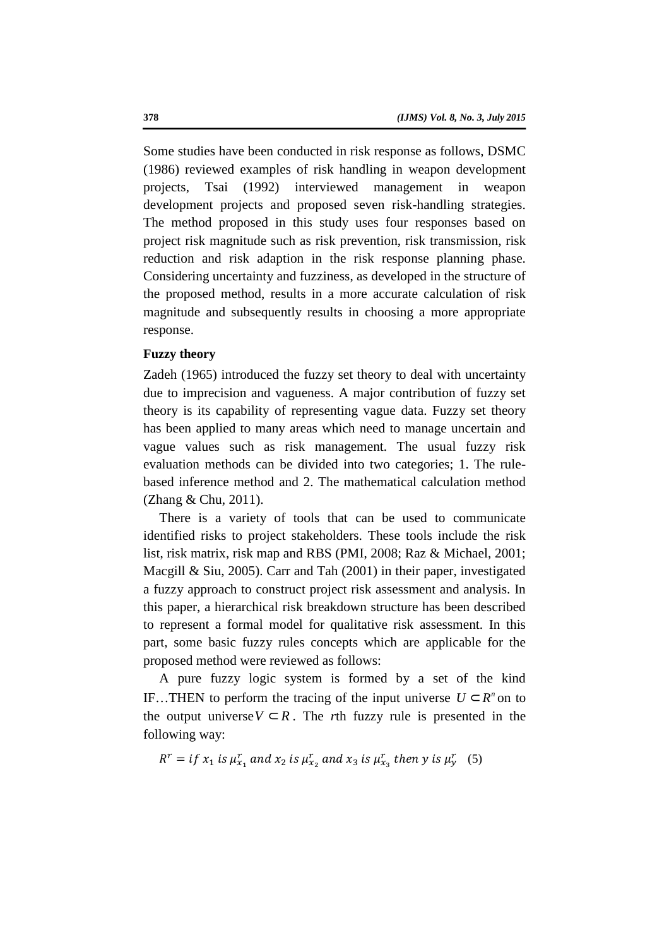Some studies have been conducted in risk response as follows, DSMC (1986) reviewed examples of risk handling in weapon development projects, Tsai (1992) interviewed management in weapon development projects and proposed seven risk-handling strategies. The method proposed in this study uses four responses based on project risk magnitude such as risk prevention, risk transmission, risk reduction and risk adaption in the risk response planning phase. Considering uncertainty and fuzziness, as developed in the structure of the proposed method, results in a more accurate calculation of risk magnitude and subsequently results in choosing a more appropriate response.

## **Fuzzy theory**

Zadeh (1965) introduced the fuzzy set theory to deal with uncertainty due to imprecision and vagueness. A major contribution of fuzzy set theory is its capability of representing vague data. Fuzzy set theory has been applied to many areas which need to manage uncertain and vague values such as risk management. The usual fuzzy risk evaluation methods can be divided into two categories; 1. The rulebased inference method and 2. The mathematical calculation method (Zhang & Chu, 2011).

There is a variety of tools that can be used to communicate identified risks to project stakeholders. These tools include the risk list, risk matrix, risk map and RBS (PMI, 2008; Raz & Michael, 2001; Macgill & Siu, 2005). Carr and Tah (2001) in their paper, investigated a fuzzy approach to construct project risk assessment and analysis. In this paper, a hierarchical risk breakdown structure has been described to represent a formal model for qualitative risk assessment. In this part, some basic fuzzy rules concepts which are applicable for the proposed method were reviewed as follows:

A pure fuzzy logic system is formed by a set of the kind IF…THEN to perform the tracing of the input universe  $U \subset R^n$  on to the output universe  $V \subset R$ . The *r*th fuzzy rule is presented in the following way:

 $R^r = if x_1$  is  $\mu_{x_1}^r$  and  $x_2$  is  $\mu_{x_2}^r$  and  $x_3$  is  $\mu_{x_3}^r$  then y is  $\mu_y^r$  (5)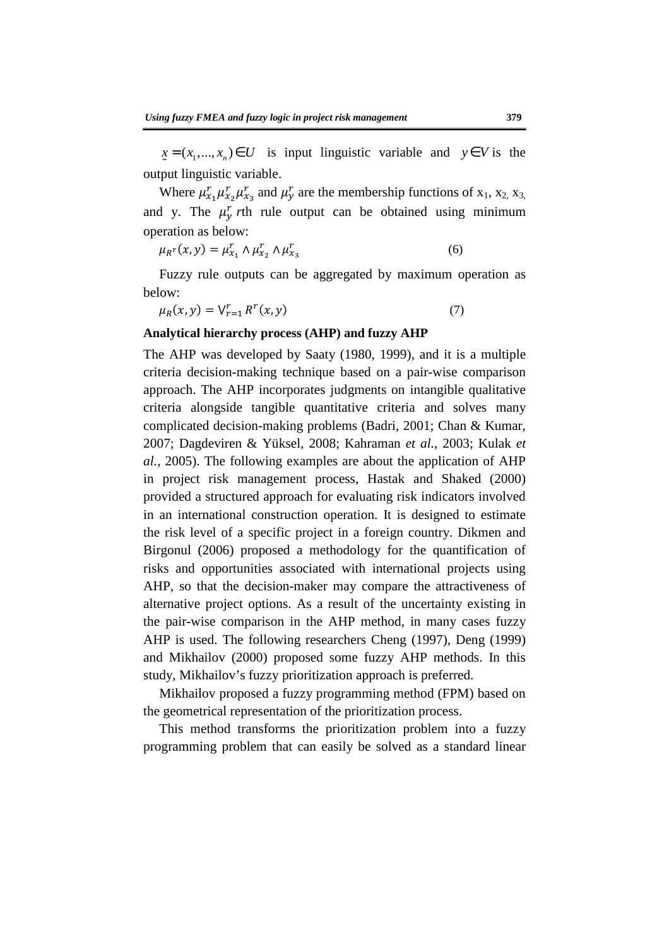$\underline{x} = (x_1, ..., x_n) \in U$  is input linguistic variable and  $y \in V$  is the output linguistic variable.

Where  $\mu_{x_1}^r \mu_{x_2}^r \mu_{x_3}^r$  and  $\mu_y^r$  are the membership functions of  $x_1, x_2, x_3$ , and y. The  $\mu_y^r$  *r*th rule output can be obtained using minimum operation as below:

$$
\mu_{R}r(x, y) = \mu_{x_1}^r \wedge \mu_{x_2}^r \wedge \mu_{x_3}^r \tag{6}
$$

Fuzzy rule outputs can be aggregated by maximum operation as below:

$$
\mu_R(x, y) = \bigvee_{r=1}^r R^r(x, y) \tag{7}
$$

#### **Analytical hierarchy process (AHP) and fuzzy AHP**

The AHP was developed by Saaty (1980, 1999), and it is a multiple criteria decision-making technique based on a pair-wise comparison approach. The AHP incorporates judgments on intangible qualitative criteria alongside tangible quantitative criteria and solves many complicated decision-making problems (Badri, 2001; Chan & Kumar, 2007; Dagdeviren & Yüksel, 2008; Kahraman *et al.*, 2003; Kulak *et al.*, 2005). The following examples are about the application of AHP in project risk management process, Hastak and Shaked (2000) provided a structured approach for evaluating risk indicators involved in an international construction operation. It is designed to estimate the risk level of a specific project in a foreign country. Dikmen and Birgonul (2006) proposed a methodology for the quantification of risks and opportunities associated with international projects using AHP, so that the decision-maker may compare the attractiveness of alternative project options. As a result of the uncertainty existing in the pair-wise comparison in the AHP method, in many cases fuzzy AHP is used. The following researchers Cheng (1997), Deng (1999) and Mikhailov (2000) proposed some fuzzy AHP methods. In this study, Mikhailov's fuzzy prioritization approach is preferred.

Mikhailov proposed a fuzzy programming method (FPM) based on the geometrical representation of the prioritization process.

This method transforms the prioritization problem into a fuzzy programming problem that can easily be solved as a standard linear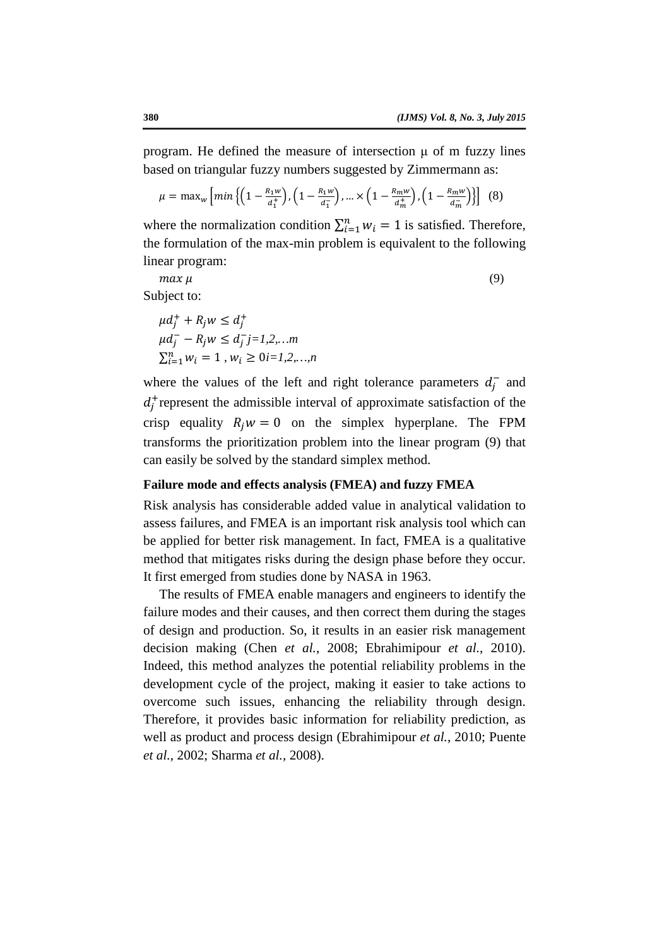program. He defined the measure of intersection  $\mu$  of m fuzzy lines based on triangular fuzzy numbers suggested by Zimmermann as:

$$
\mu = \max_{w} \left[ \min \left\{ \left( 1 - \frac{R_1 w}{d_1^+} \right), \left( 1 - \frac{R_1 w}{d_1^-} \right), \dots \times \left( 1 - \frac{R_m w}{d_m^+} \right), \left( 1 - \frac{R_m w}{d_m^-} \right) \right\} \right] (8)
$$

where the normalization condition  $\sum_{i=1}^{n} w_i = 1$  is satisfied. Therefore, the formulation of the max-min problem is equivalent to the following linear program:

 $max \mu$  (9)

Subject to:

$$
\mu d_j^+ + R_j w \le d_j^+ \n\mu d_j^- - R_j w \le d_j^- j = 1, 2, \dots m \n\Sigma_{i=1}^n w_i = 1, w_i \ge 0 \in I, 2, \dots, n
$$

where the values of the left and right tolerance parameters  $d_j^-$  and  $d_j^+$  represent the admissible interval of approximate satisfaction of the crisp equality  $R_i w = 0$  on the simplex hyperplane. The FPM transforms the prioritization problem into the linear program (9) that can easily be solved by the standard simplex method.

### **Failure mode and effects analysis (FMEA) and fuzzy FMEA**

Risk analysis has considerable added value in analytical validation to assess failures, and FMEA is an important risk analysis tool which can be applied for better risk management. In fact, FMEA is a qualitative method that mitigates risks during the design phase before they occur. It first emerged from studies done by NASA in 1963.

The results of FMEA enable managers and engineers to identify the failure modes and their causes, and then correct them during the stages of design and production. So, it results in an easier risk management decision making (Chen *et al.*, 2008; Ebrahimipour *et al.*, 2010). Indeed, this method analyzes the potential reliability problems in the development cycle of the project, making it easier to take actions to overcome such issues, enhancing the reliability through design. Therefore, it provides basic information for reliability prediction, as well as product and process design (Ebrahimipour *et al.*, 2010; Puente *et al.*, 2002; Sharma *et al.*, 2008).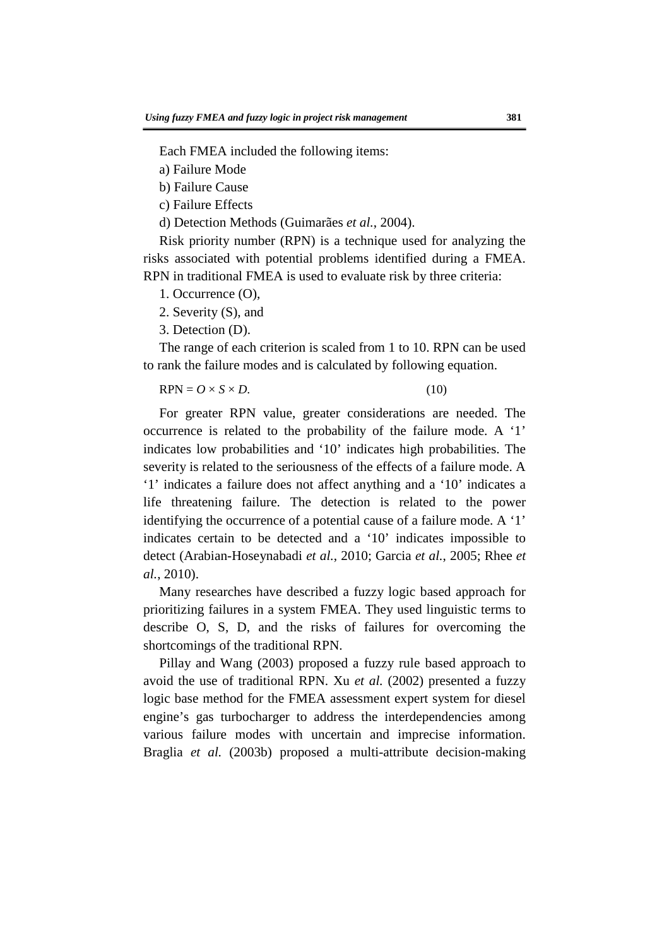Each FMEA included the following items:

a) Failure Mode

b) Failure Cause

c) Failure Effects

d) Detection Methods (Guimarães *et al.*, 2004).

Risk priority number (RPN) is a technique used for analyzing the risks associated with potential problems identified during a FMEA. RPN in traditional FMEA is used to evaluate risk by three criteria:

- 1. Occurrence (O),
- 2. Severity (S), and
- 3. Detection (D).

The range of each criterion is scaled from 1 to 10. RPN can be used to rank the failure modes and is calculated by following equation.

$$
RPN = O \times S \times D. \tag{10}
$$

For greater RPN value, greater considerations are needed. The occurrence is related to the probability of the failure mode. A '1' indicates low probabilities and '10' indicates high probabilities. The severity is related to the seriousness of the effects of a failure mode. A '1' indicates a failure does not affect anything and a '10' indicates a life threatening failure. The detection is related to the power identifying the occurrence of a potential cause of a failure mode. A '1' indicates certain to be detected and a '10' indicates impossible to detect (Arabian-Hoseynabadi *et al.*, 2010; Garcia *et al.*, 2005; Rhee *et al.*, 2010).

Many researches have described a fuzzy logic based approach for prioritizing failures in a system FMEA. They used linguistic terms to describe O, S, D, and the risks of failures for overcoming the shortcomings of the traditional RPN.

Pillay and Wang (2003) proposed a fuzzy rule based approach to avoid the use of traditional RPN. Xu *et al.* (2002) presented a fuzzy logic base method for the FMEA assessment expert system for diesel engine's gas turbocharger to address the interdependencies among various failure modes with uncertain and imprecise information. Braglia *et al.* (2003b) proposed a multi-attribute decision-making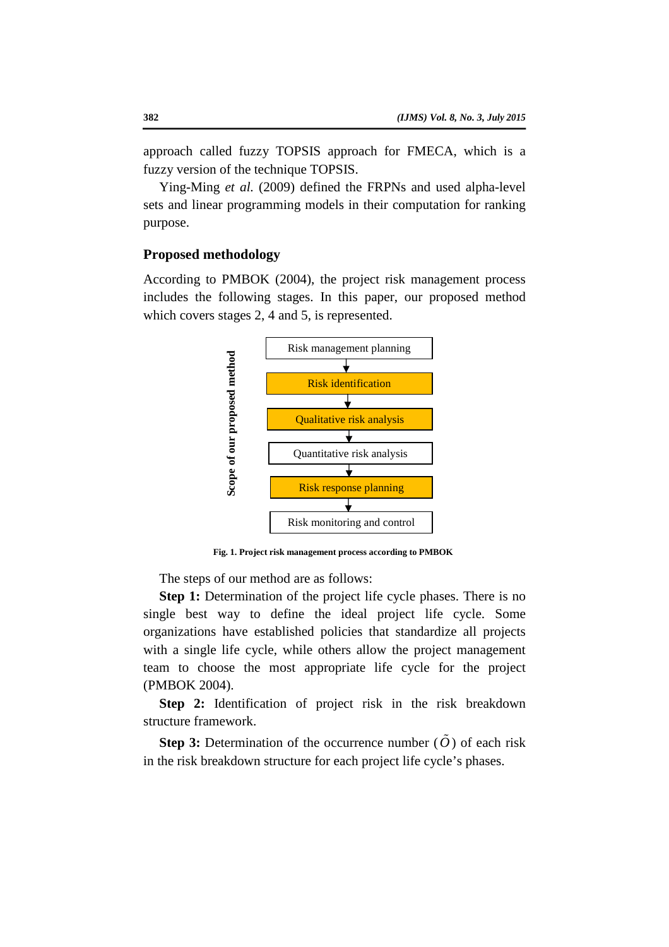approach called fuzzy TOPSIS approach for FMECA, which is a fuzzy version of the technique TOPSIS.

Ying-Ming *et al.* (2009) defined the FRPNs and used alpha-level sets and linear programming models in their computation for ranking purpose.

### **Proposed methodology**

According to PMBOK (2004), the project risk management process includes the following stages. In this paper, our proposed method which covers stages 2, 4 and 5, is represented.



**Fig. 1. Project risk management process according to PMBOK** 

The steps of our method are as follows:

**Step 1:** Determination of the project life cycle phases. There is no single best way to define the ideal project life cycle. Some organizations have established policies that standardize all projects with a single life cycle, while others allow the project management team to choose the most appropriate life cycle for the project (PMBOK 2004).

**Step 2:** Identification of project risk in the risk breakdown structure framework.

**Step 3:** Determination of the occurrence number  $(\tilde{O})$  of each risk in the risk breakdown structure for each project life cycle's phases.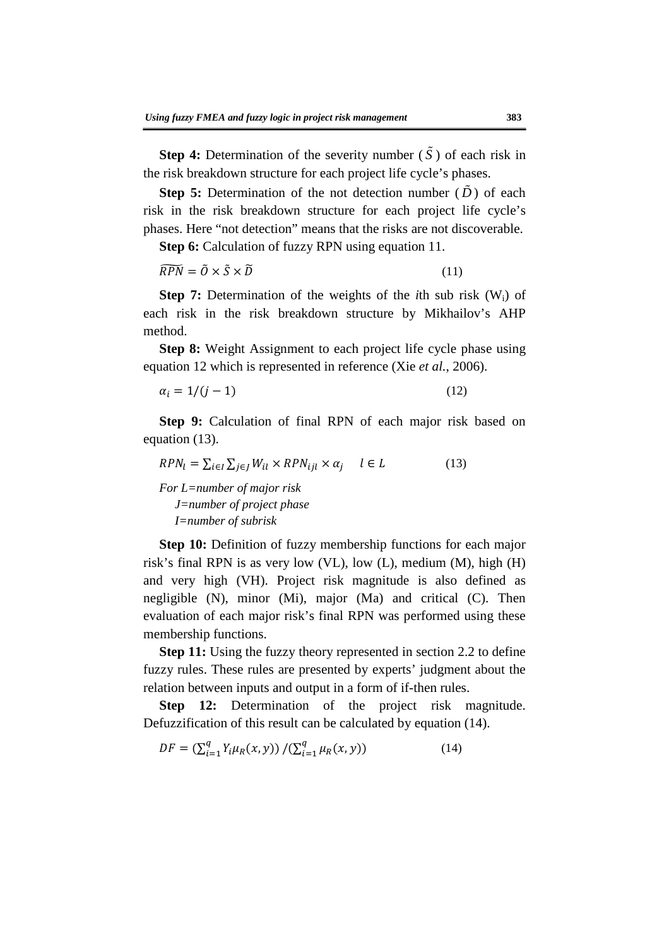**Step 4:** Determination of the severity number  $(\tilde{S})$  of each risk in the risk breakdown structure for each project life cycle's phases.

**Step 5:** Determination of the not detection number  $(\tilde{D})$  of each risk in the risk breakdown structure for each project life cycle's phases. Here "not detection" means that the risks are not discoverable.

**Step 6:** Calculation of fuzzy RPN using equation 11.

$$
\widetilde{RPN} = \widetilde{O} \times \widetilde{S} \times \widetilde{D} \tag{11}
$$

**Step 7:** Determination of the weights of the *i*th sub risk (Wi) of each risk in the risk breakdown structure by Mikhailov's AHP method.

**Step 8:** Weight Assignment to each project life cycle phase using equation 12 which is represented in reference (Xie *et al.*, 2006).

$$
\alpha_i = 1/(j-1) \tag{12}
$$

**Step 9:** Calculation of final RPN of each major risk based on equation (13).

$$
RPN_l = \sum_{i \in I} \sum_{j \in J} W_{il} \times RPN_{ijl} \times \alpha_j \quad l \in L \tag{13}
$$

*For L=number of major risk J=number of project phase I=number of subrisk* 

**Step 10:** Definition of fuzzy membership functions for each major risk's final RPN is as very low (VL), low (L), medium (M), high (H) and very high (VH). Project risk magnitude is also defined as negligible (N), minor (Mi), major (Ma) and critical (C). Then evaluation of each major risk's final RPN was performed using these membership functions.

**Step 11:** Using the fuzzy theory represented in section 2.2 to define fuzzy rules. These rules are presented by experts' judgment about the relation between inputs and output in a form of if-then rules.

**Step 12:** Determination of the project risk magnitude. Defuzzification of this result can be calculated by equation (14).

$$
DF = \left(\sum_{i=1}^{q} Y_i \mu_R(x, y)\right) / \left(\sum_{i=1}^{q} \mu_R(x, y)\right) \tag{14}
$$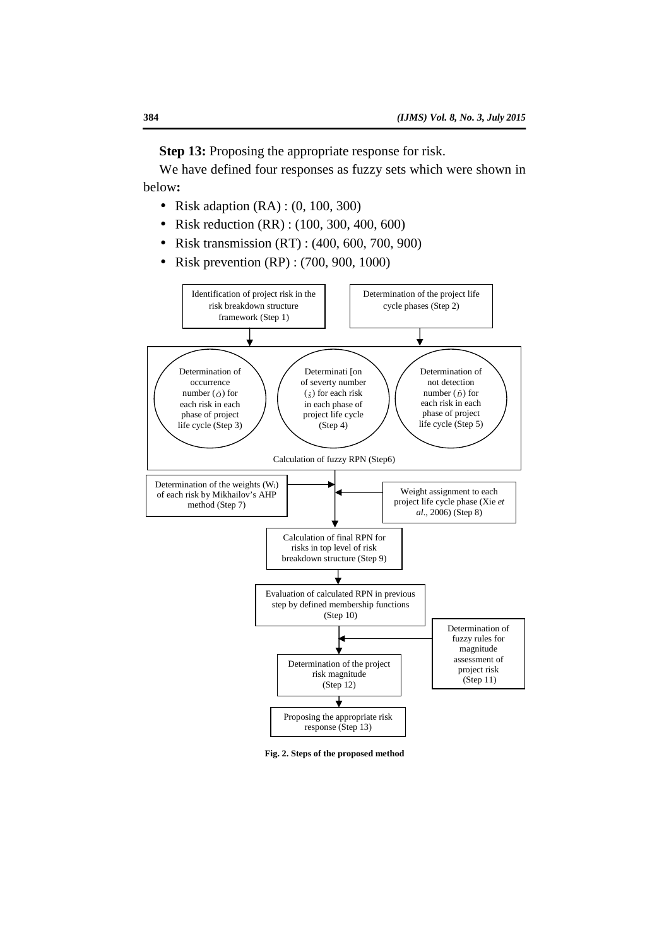**Step 13:** Proposing the appropriate response for risk.

We have defined four responses as fuzzy sets which were shown in below**:**

- Risk adaption  $(RA) : (0, 100, 300)$
- Risk reduction (RR) : (100, 300, 400, 600)
- Risk transmission (RT) : (400, 600, 700, 900)
- Risk prevention (RP) : (700, 900, 1000)



**Fig. 2. Steps of the proposed method**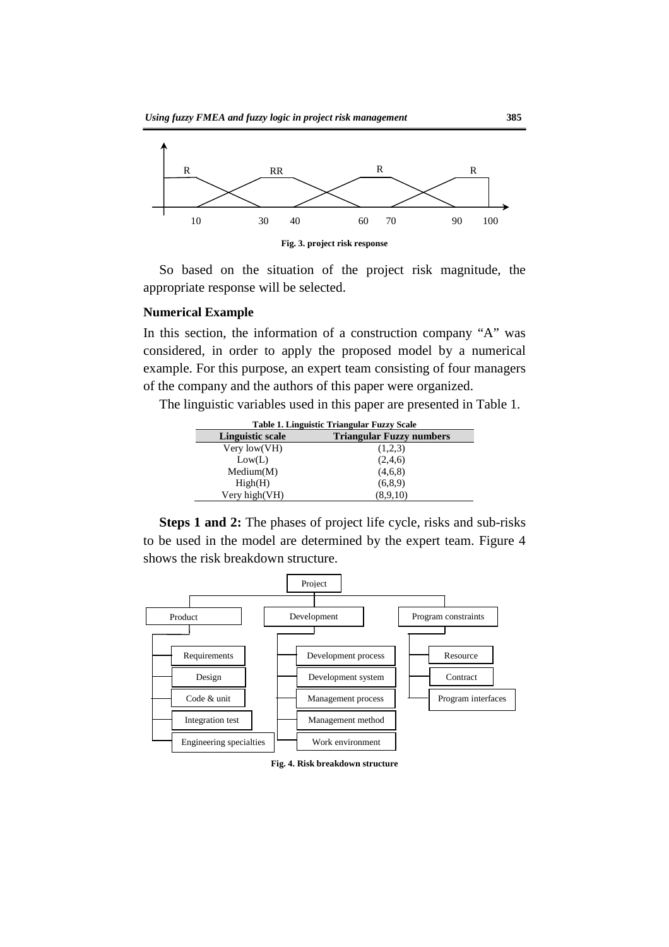

So based on the situation of the project risk magnitude, the appropriate response will be selected.

#### **Numerical Example**

In this section, the information of a construction company "A" was considered, in order to apply the proposed model by a numerical example. For this purpose, an expert team consisting of four managers of the company and the authors of this paper were organized.

The linguistic variables used in this paper are presented in Table 1.

| Table 1. Linguistic Triangular Fuzzy Scale |                                 |  |  |  |  |
|--------------------------------------------|---------------------------------|--|--|--|--|
| <b>Linguistic scale</b>                    | <b>Triangular Fuzzy numbers</b> |  |  |  |  |
| Very $low(VH)$                             | (1,2,3)                         |  |  |  |  |
| Low(L)                                     | (2,4,6)                         |  |  |  |  |
| Median(M)                                  | (4,6,8)                         |  |  |  |  |
| High(H)                                    | (6, 8, 9)                       |  |  |  |  |
| Very high(VH)                              | (8,9,10)                        |  |  |  |  |

**Steps 1 and 2:** The phases of project life cycle, risks and sub-risks to be used in the model are determined by the expert team. Figure 4 shows the risk breakdown structure.



**Fig. 4. Risk breakdown structure**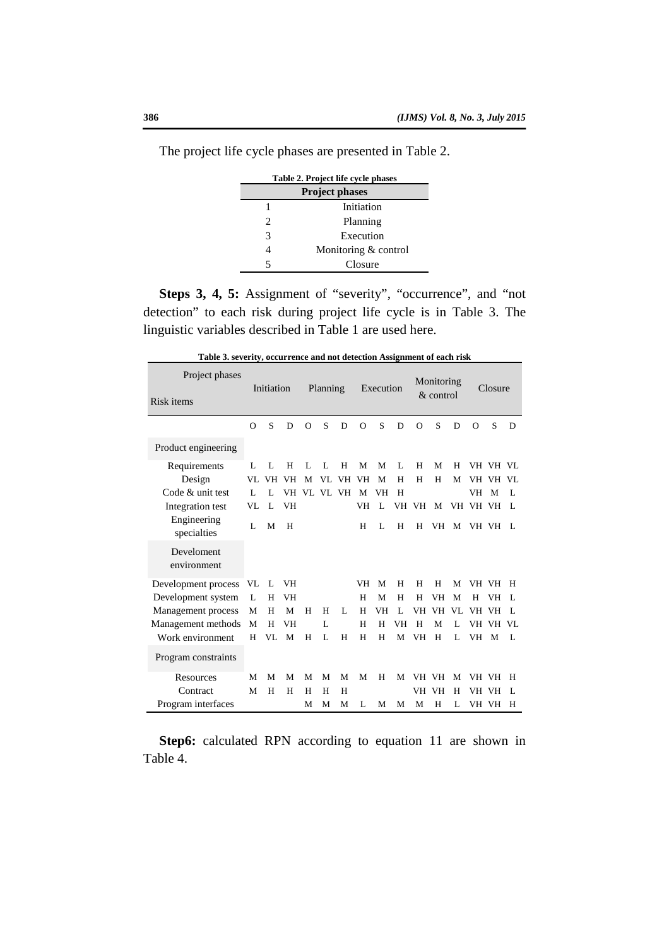| Table 2. Project life cycle phases |                      |  |  |  |  |  |
|------------------------------------|----------------------|--|--|--|--|--|
| <b>Project phases</b>              |                      |  |  |  |  |  |
|                                    | Initiation           |  |  |  |  |  |
| $\mathcal{L}$                      | Planning             |  |  |  |  |  |
| 3                                  | Execution            |  |  |  |  |  |
|                                    | Monitoring & control |  |  |  |  |  |
|                                    | Closure              |  |  |  |  |  |

The project life cycle phases are presented in Table 2.

**Steps 3, 4, 5:** Assignment of "severity", "occurrence", and "not detection" to each risk during project life cycle is in Table 3. The linguistic variables described in Table 1 are used here.

| Project phases             |          | Initiation     |    |          | Planning |          |           | Execution    |              |          | Monitoring  |    |          | Closure   |                |
|----------------------------|----------|----------------|----|----------|----------|----------|-----------|--------------|--------------|----------|-------------|----|----------|-----------|----------------|
| Risk items                 |          |                |    |          |          |          |           |              |              |          | $&$ control |    |          |           |                |
|                            | $\Omega$ | S              | D  | $\Omega$ | S        | D        | $\Omega$  | S            | D            | $\Omega$ | S           | D  | $\Omega$ | S         | D              |
| Product engineering        |          |                |    |          |          |          |           |              |              |          |             |    |          |           |                |
| Requirements               | L        | $\mathbf{I}$ . | H  | L        | L        | H        | M         | M            | L            | H        | M           | H  |          | VH VH VL  |                |
| Design                     | VL       | VH             | VH | M        | VL       | VH       | <b>VH</b> | M            | H            | H        | H           | M  | VH       | VH        | VL             |
| Code & unit test           | Ι.       | L              | VH |          |          | VL VL VH | M         | VH           | H            |          |             |    | VH       | M         | L              |
| Integration test           | VL       | $\mathbf{L}$   | VH |          |          |          | VH        | $\mathbf{L}$ | VH           | VH       | M           |    | VH VH VH |           | L              |
| Engineering<br>specialties | L        | М              | H  |          |          |          | H         | L            | H            | H        | VH          | M  |          | VH VH     | $\mathbf{I}$ . |
| Develoment<br>environment  |          |                |    |          |          |          |           |              |              |          |             |    |          |           |                |
| Development process        | VL       | L              | VH |          |          |          | VH        | M            | H            | H        | H           | М  |          | VH VH     | H              |
| Development system         | L        | H              | VH |          |          |          | H         | M            | H            | H        | <b>VH</b>   | М  | H        | VН        | L              |
| Management process         | М        | H              | M  | H        | H        | L        | H         | VH           | $\mathbf{L}$ | VH       | <b>VH</b>   | VL | VH       | <b>VH</b> | L              |
| Management methods         | М        | H              | VH |          | L        |          | H         | H            | VH           | H        | М           | L  | VH       | <b>VH</b> | VL.            |
| Work environment           | H        | VL             | M  | H        | L        | H        | H         | H            | M            | VH       | H           | L  | VH       | M         | L              |
| Program constraints        |          |                |    |          |          |          |           |              |              |          |             |    |          |           |                |
| Resources                  | M        | М              | M  | M        | M        | M        | M         | H            | M            |          | VH VH       | М  |          | VH VH     | H              |
| Contract                   | М        | H              | H  | H        | H        | H        |           |              |              |          | VH VH       | H  | VH       | <b>VH</b> | L              |
| Program interfaces         |          |                |    | М        | М        | M        | L         | М            | M            | М        | H           | L  |          | VH VH     | H              |

**Table 3. severity, occurrence and not detection Assignment of each risk** 

**Step6:** calculated RPN according to equation 11 are shown in Table 4.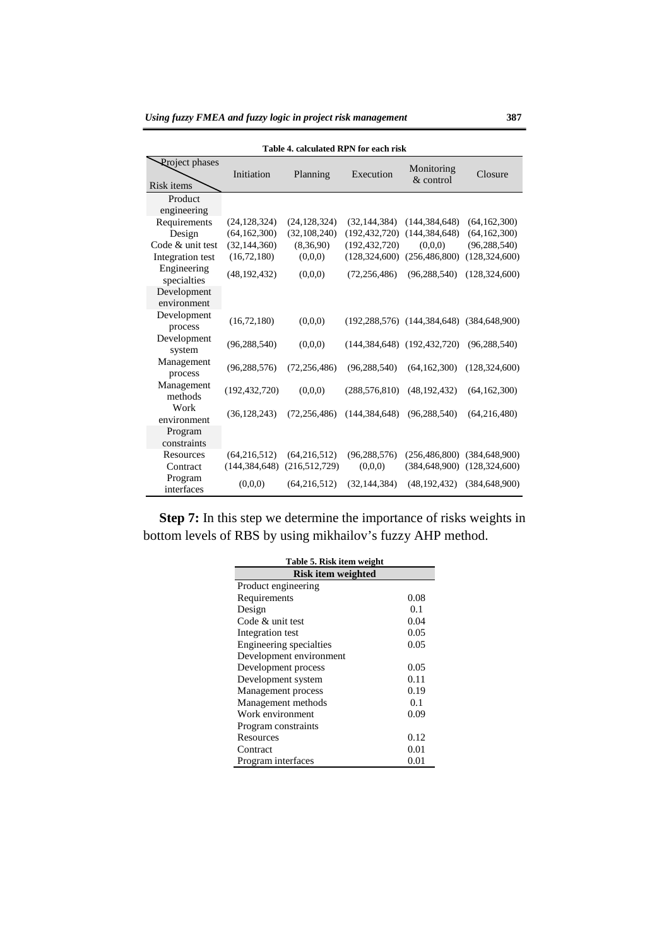| Table 4. calculated RPN for each risk |                 |                 |                 |                                                       |                 |  |  |  |
|---------------------------------------|-----------------|-----------------|-----------------|-------------------------------------------------------|-----------------|--|--|--|
| <b>Rroject</b> phases<br>Risk items   | Initiation      | Planning        | Execution       | Monitoring<br>$&$ control                             | Closure         |  |  |  |
| Product                               |                 |                 |                 |                                                       |                 |  |  |  |
| engineering<br>Requirements           | (24, 128, 324)  | (24, 128, 324)  | (32, 144, 384)  | (144, 384, 648)                                       | (64, 162, 300)  |  |  |  |
| Design                                | (64, 162, 300)  | (32, 108, 240)  | (192, 432, 720) | (144, 384, 648)                                       | (64, 162, 300)  |  |  |  |
| Code & unit test                      | (32, 144, 360)  | (8,36,90)       | (192, 432, 720) | (0.0,0)                                               | (96, 288, 540)  |  |  |  |
| Integration test                      | (16, 72, 180)   | (0.0,0)         | (128, 324, 600) | (256, 486, 800)                                       | (128, 324, 600) |  |  |  |
| Engineering<br>specialties            | (48, 192, 432)  | (0,0,0)         | (72, 256, 486)  | (96, 288, 540)                                        | (128, 324, 600) |  |  |  |
| Development<br>environment            |                 |                 |                 |                                                       |                 |  |  |  |
| Development<br>process                | (16, 72, 180)   | (0.0.0)         |                 | $(192, 288, 576)$ $(144, 384, 648)$ $(384, 648, 900)$ |                 |  |  |  |
| Development<br>system                 | (96, 288, 540)  | (0,0,0)         |                 | $(144, 384, 648)$ $(192, 432, 720)$                   | (96, 288, 540)  |  |  |  |
| Management<br>process                 | (96, 288, 576)  | (72, 256, 486)  | (96, 288, 540)  | (64, 162, 300)                                        | (128, 324, 600) |  |  |  |
| Management<br>methods                 | (192, 432, 720) | (0.0.0)         | (288, 576, 810) | (48, 192, 432)                                        | (64, 162, 300)  |  |  |  |
| Work<br>environment                   | (36, 128, 243)  | (72, 256, 486)  | (144, 384, 648) | (96, 288, 540)                                        | (64,216,480)    |  |  |  |
| Program<br>constraints                |                 |                 |                 |                                                       |                 |  |  |  |
| Resources                             | (64,216,512)    | (64,216,512)    | (96, 288, 576)  | (256, 486, 800)                                       | (384, 648, 900) |  |  |  |
| Contract                              | (144, 384, 648) | (216, 512, 729) | (0,0,0)         | (384.648.900)                                         | (128.324.600)   |  |  |  |
| Program<br>interfaces                 | (0.0, 0)        | (64,216,512)    | (32, 144, 384)  | (48, 192, 432)                                        | (384, 648, 900) |  |  |  |

**Step 7:** In this step we determine the importance of risks weights in bottom levels of RBS by using mikhailov's fuzzy AHP method.

| Table 5. Risk item weight |      |  |  |  |
|---------------------------|------|--|--|--|
| <b>Risk item weighted</b> |      |  |  |  |
| Product engineering       |      |  |  |  |
| Requirements              | 0.08 |  |  |  |
| Design                    | 0.1  |  |  |  |
| Code & unit test          | 0.04 |  |  |  |
| Integration test          | 0.05 |  |  |  |
| Engineering specialties   | 0.05 |  |  |  |
| Development environment   |      |  |  |  |
| Development process       | 0.05 |  |  |  |
| Development system        | 0.11 |  |  |  |
| Management process        | 0.19 |  |  |  |
| Management methods        | 0.1  |  |  |  |
| Work environment          | 0.09 |  |  |  |
| Program constraints       |      |  |  |  |
| Resources                 | 0.12 |  |  |  |
| Contract                  | 0.01 |  |  |  |
| Program interfaces        | 0.01 |  |  |  |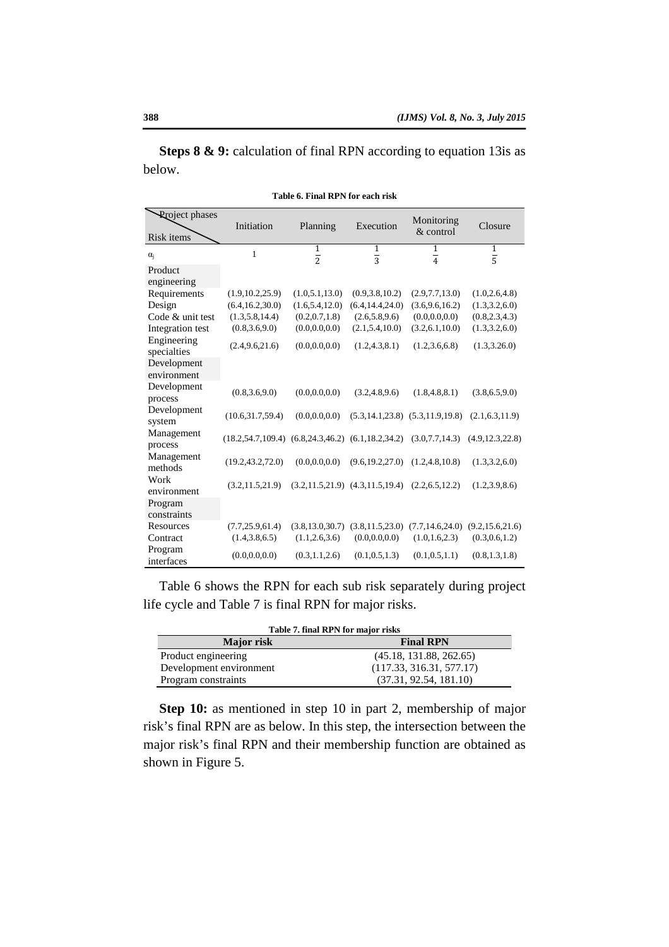**Steps 8 & 9:** calculation of final RPN according to equation 13is as below.

| <b>Rroject</b> phases<br>Risk items | Initiation                                              | Planning          | Execution                               | Monitoring<br>& control                 | Closure           |
|-------------------------------------|---------------------------------------------------------|-------------------|-----------------------------------------|-----------------------------------------|-------------------|
| $\alpha_i$                          | $\mathbf{1}$                                            | $\mathbf{1}$      | $\overline{1}$                          | $\mathbf{1}$                            | $\overline{1}$    |
|                                     |                                                         | $\frac{1}{2}$     | $\frac{1}{3}$                           | $\frac{1}{4}$                           | $\overline{5}$    |
| Product<br>engineering              |                                                         |                   |                                         |                                         |                   |
| Requirements                        | (1.9, 10.2, 25.9)                                       | (1.0, 5.1, 13.0)  | (0.9, 3.8, 10.2)                        | (2.9, 7.7, 13.0)                        | (1.0, 2.6, 4.8)   |
| Design                              | (6.4, 16.2, 30.0)                                       | (1.6, 5.4, 12.0)  | (6.4, 14.4, 24.0)                       | (3.6, 9.6, 16.2)                        | (1.3, 3.2, 6.0)   |
| Code & unit test                    | (1.3, 5.8, 14.4)                                        | (0.2, 0.7, 1.8)   | (2.6, 5.8, 9.6)                         | (0.0, 0.0, 0.0)                         | (0.8, 2.3, 4.3)   |
| Integration test                    | (0.8, 3.6, 9.0)                                         | (0.0, 0.0, 0.0)   | (2.1, 5.4, 10.0)                        | (3.2, 6.1, 10.0)                        | (1.3, 3.2, 6.0)   |
| Engineering<br>specialties          | (2.4, 9.6, 21.6)                                        | (0.0, 0.0, 0.0)   | (1.2, 4.3, 8.1)                         | (1.2, 3.6, 6.8)                         | (1.3, 3.26.0)     |
| Development                         |                                                         |                   |                                         |                                         |                   |
| environment                         |                                                         |                   |                                         |                                         |                   |
| Development<br>process              | (0.8, 3.6, 9.0)                                         | (0.0, 0.0, 0.0)   | (3.2, 4.8, 9.6)                         | (1.8, 4.8, 8.1)                         | (3.8, 6.5, 9.0)   |
| Development<br>system               | (10.6, 31.7, 59.4)                                      | (0.0, 0.0, 0.0)   |                                         | $(5.3, 14.1, 23.8)$ $(5.3, 11.9, 19.8)$ | (2.1, 6.3, 11.9)  |
| Management<br>process               | $(18.2,54.7,109.4)$ $(6.8,24.3,46.2)$ $(6.1,18.2,34.2)$ |                   |                                         | (3.0, 7.7, 14.3)                        | (4.9, 12.3, 22.8) |
| Management<br>methods               | (19.2, 43.2, 72.0)                                      | (0.0, 0.0, 0.0)   | (9.6, 19.2, 27.0)                       | (1.2, 4.8, 10.8)                        | (1.3, 3.2, 6.0)   |
| Work<br>environment                 | (3.2, 11.5, 21.9)                                       |                   | $(3.2, 11.5, 21.9)$ $(4.3, 11.5, 19.4)$ | (2.2, 6.5, 12.2)                        | (1.2, 3.9, 8.6)   |
| Program<br>constraints              |                                                         |                   |                                         |                                         |                   |
| Resources                           | (7.7, 25.9, 61.4)                                       | (3.8, 13.0, 30.7) | (3.8, 11.5, 23.0)                       | (7.7, 14.6, 24.0)                       | (9.2, 15.6, 21.6) |
| Contract                            | (1.4, 3.8, 6.5)                                         | (1.1, 2.6, 3.6)   | (0.0, 0.0, 0.0)                         | (1.0, 1.6, 2.3)                         | (0.3, 0.6, 1.2)   |
| Program<br>interfaces               | (0.0, 0.0, 0.0)                                         | (0.3, 1.1, 2.6)   | (0.1, 0.5, 1.3)                         | (0.1, 0.5, 1.1)                         | (0.8, 1.3, 1.8)   |

| Table 6. Final RPN for each risk |  |  |  |  |  |  |  |
|----------------------------------|--|--|--|--|--|--|--|
|----------------------------------|--|--|--|--|--|--|--|

Table 6 shows the RPN for each sub risk separately during project life cycle and Table 7 is final RPN for major risks.

| Table 7. final RPN for major risks |                          |  |  |  |  |
|------------------------------------|--------------------------|--|--|--|--|
| <b>Major risk</b>                  | <b>Final RPN</b>         |  |  |  |  |
| Product engineering                | (45.18, 131.88, 262.65)  |  |  |  |  |
| Development environment            | (117.33, 316.31, 577.17) |  |  |  |  |
| Program constraints                | (37.31, 92.54, 181.10)   |  |  |  |  |

**Step 10:** as mentioned in step 10 in part 2, membership of major risk's final RPN are as below. In this step, the intersection between the major risk's final RPN and their membership function are obtained as shown in Figure 5.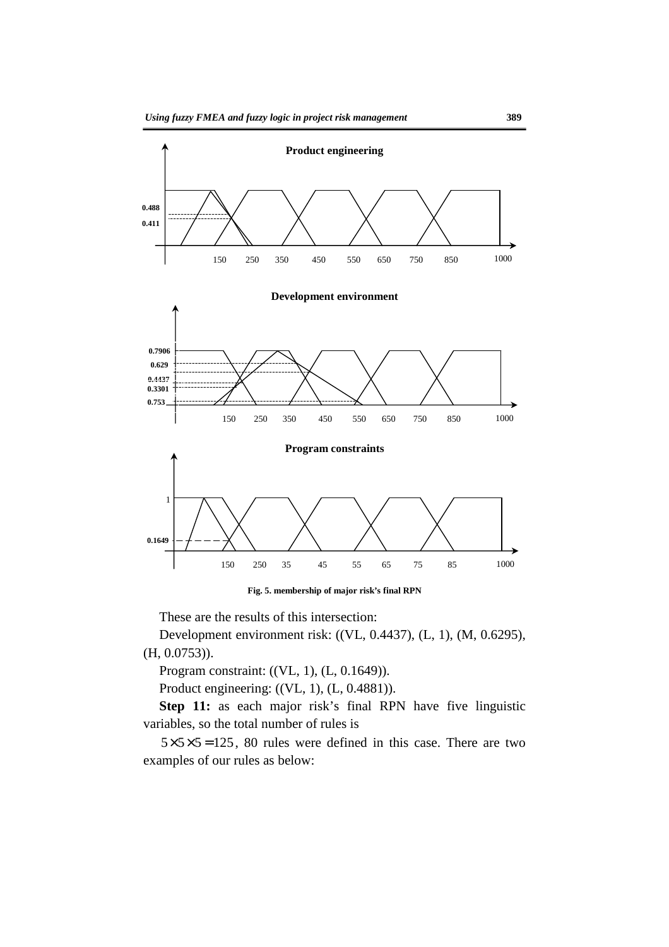

**Fig. 5. membership of major risk's final RPN** 

These are the results of this intersection:

Development environment risk: ((VL, 0.4437), (L, 1), (M, 0.6295), (H, 0.0753)).

Program constraint: ((VL, 1), (L, 0.1649)).

Product engineering: ((VL, 1), (L, 0.4881)).

**Step 11:** as each major risk's final RPN have five linguistic variables, so the total number of rules is

 $5 \times 5 \times 5 = 125$ , 80 rules were defined in this case. There are two examples of our rules as below: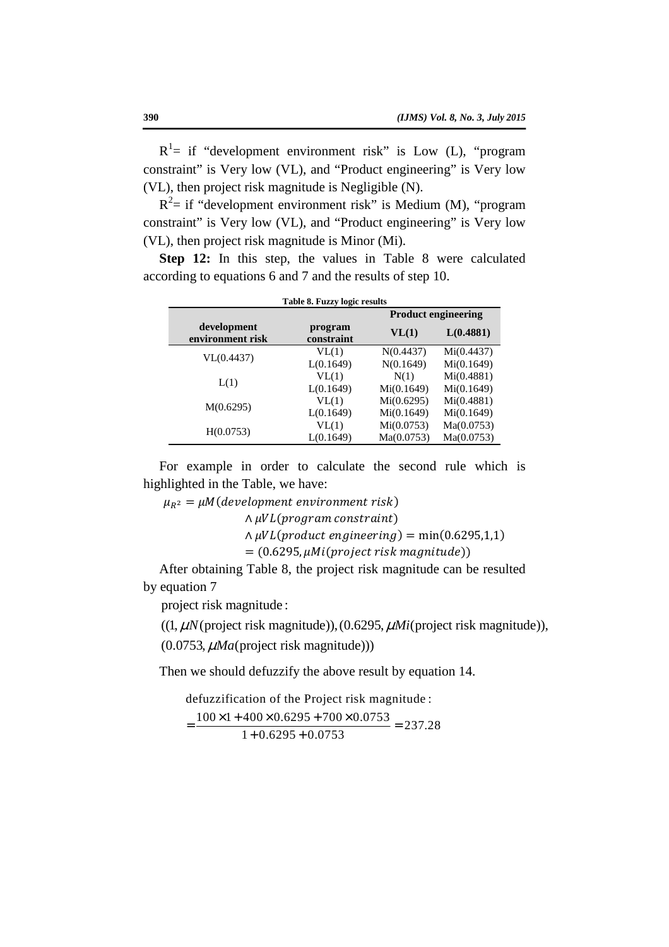$R<sup>1</sup>$  = if "development environment risk" is Low (L), "program constraint" is Very low (VL), and "Product engineering" is Very low (VL), then project risk magnitude is Negligible (N).

 $R<sup>2</sup>$  = if "development environment risk" is Medium (M), "program constraint" is Very low (VL), and "Product engineering" is Very low (VL), then project risk magnitude is Minor (Mi).

**Step 12:** In this step, the values in Table 8 were calculated according to equations 6 and 7 and the results of step 10.

| Table 8. Fuzzy logic results<br><b>Product engineering</b> |                       |            |            |  |  |  |  |
|------------------------------------------------------------|-----------------------|------------|------------|--|--|--|--|
| development<br>environment risk                            | program<br>constraint | VL(1)      | L(0.4881)  |  |  |  |  |
|                                                            | VL(1)                 | N(0.4437)  | Mi(0.4437) |  |  |  |  |
| VL(0.4437)                                                 | L(0.1649)             | N(0.1649)  | Mi(0.1649) |  |  |  |  |
|                                                            | VL(1)                 | N(1)       | Mi(0.4881) |  |  |  |  |
| L(1)                                                       | L(0.1649)             | Mi(0.1649) | Mi(0.1649) |  |  |  |  |
|                                                            | VL(1)                 | Mi(0.6295) | Mi(0.4881) |  |  |  |  |
| M(0.6295)                                                  | L(0.1649)             | Mi(0.1649) | Mi(0.1649) |  |  |  |  |
| H(0.0753)                                                  | VL(1)                 | Mi(0.0753) | Ma(0.0753) |  |  |  |  |
|                                                            | L(0.1649)             | Ma(0.0753) | Ma(0.0753) |  |  |  |  |

For example in order to calculate the second rule which is highlighted in the Table, we have:

 $\mu_{R^2} = \mu M (development \; environment \; risk)$ 

 $\wedge$  µVL(program constraint)

 $\land \mu VL(produced in generating) = min(0.6295,1,1)$ 

 $(0.6295, \mu\text{Mi} (project risk magnitude))$ 

After obtaining Table 8, the project risk magnitude can be resulted by equation 7

project risk magnitude :

 $((1, \mu N$ (project risk magnitude)),  $(0.6295, \mu Mi$ (project risk magnitude)),

(0.0753,  $\mu Ma$ (project risk magnitude)))

Then we should defuzzify the above result by equation 14.

defuzzification of the Project risk magnitude :  $=\frac{100\times1+400\times0.6295+700\times0.0753}{2500\times10000} = 237.28$  $1 + 0.6295 + 0.0753$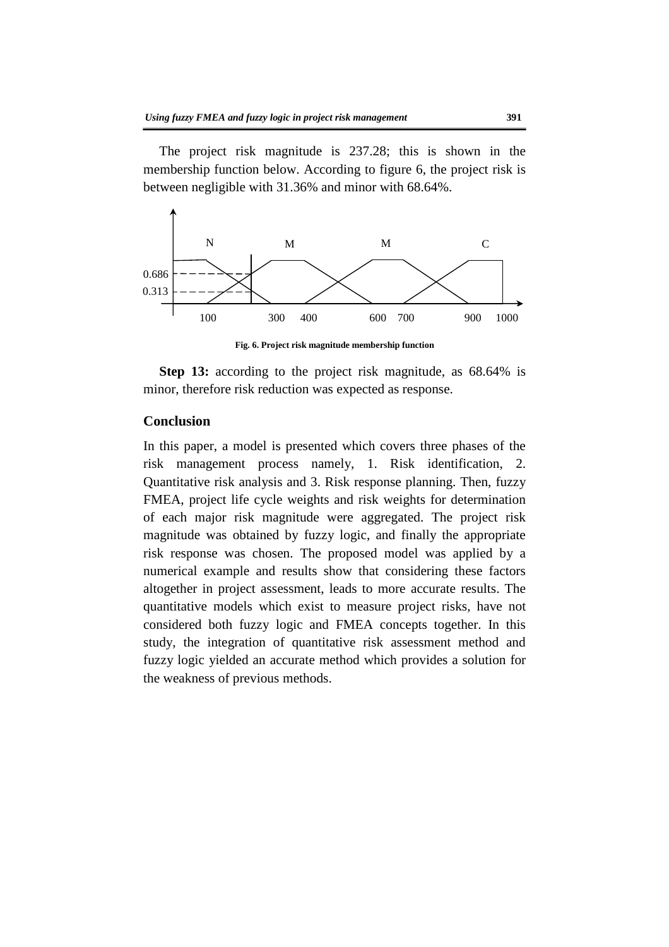The project risk magnitude is 237.28; this is shown in the membership function below. According to figure 6, the project risk is between negligible with 31.36% and minor with 68.64%.



**Fig. 6. Project risk magnitude membership function** 

**Step 13:** according to the project risk magnitude, as 68.64% is minor, therefore risk reduction was expected as response.

## **Conclusion**

In this paper, a model is presented which covers three phases of the risk management process namely, 1. Risk identification, 2. Quantitative risk analysis and 3. Risk response planning. Then, fuzzy FMEA, project life cycle weights and risk weights for determination of each major risk magnitude were aggregated. The project risk magnitude was obtained by fuzzy logic, and finally the appropriate risk response was chosen. The proposed model was applied by a numerical example and results show that considering these factors altogether in project assessment, leads to more accurate results. The quantitative models which exist to measure project risks, have not considered both fuzzy logic and FMEA concepts together. In this study, the integration of quantitative risk assessment method and fuzzy logic yielded an accurate method which provides a solution for the weakness of previous methods.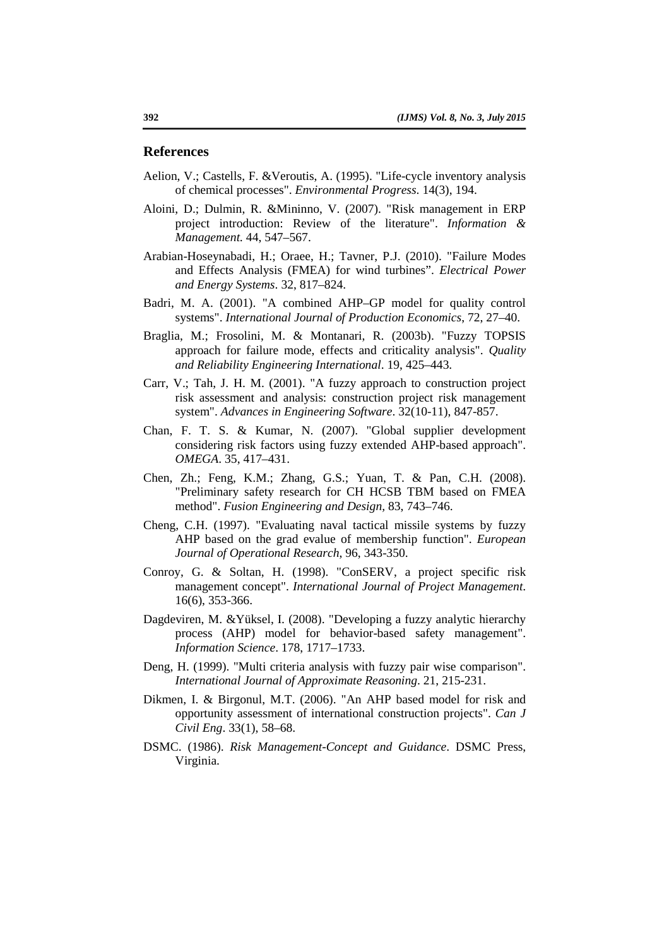#### **References**

- Aelion, V.; Castells, F. &Veroutis, A. (1995). "Life-cycle inventory analysis of chemical processes". *Environmental Progress*. 14(3), 194.
- Aloini, D.; Dulmin, R. &Mininno, V. (2007). "Risk management in ERP project introduction: Review of the literature". *Information & Management.* 44, 547–567.
- Arabian-Hoseynabadi, H.; Oraee, H.; Tavner, P.J. (2010). "Failure Modes and Effects Analysis (FMEA) for wind turbines". *Electrical Power and Energy Systems*. 32, 817–824.
- Badri, M. A. (2001). "A combined AHP–GP model for quality control systems". *International Journal of Production Economics*, 72, 27–40.
- Braglia, M.; Frosolini, M. & Montanari, R. (2003b). "Fuzzy TOPSIS approach for failure mode, effects and criticality analysis". *Quality and Reliability Engineering International*. 19, 425–443.
- Carr, V.; Tah, J. H. M. (2001). "A fuzzy approach to construction project risk assessment and analysis: construction project risk management system". *Advances in Engineering Software*. 32(10-11), 847-857.
- Chan, F. T. S. & Kumar, N. (2007). "Global supplier development considering risk factors using fuzzy extended AHP-based approach". *OMEGA*. 35, 417–431.
- Chen, Zh.; Feng, K.M.; Zhang, G.S.; Yuan, T. & Pan, C.H. (2008). "Preliminary safety research for CH HCSB TBM based on FMEA method". *Fusion Engineering and Design,* 83, 743–746.
- Cheng, C.H. (1997). "Evaluating naval tactical missile systems by fuzzy AHP based on the grad evalue of membership function". *European Journal of Operational Research*, 96, 343-350.
- Conroy, G. & Soltan, H. (1998). "ConSERV, a project specific risk management concept". *International Journal of Project Management*. 16(6), 353-366.
- Dagdeviren, M. &Yüksel, I. (2008). "Developing a fuzzy analytic hierarchy process (AHP) model for behavior-based safety management". *Information Science*. 178, 1717–1733.
- Deng, H. (1999). "Multi criteria analysis with fuzzy pair wise comparison". *International Journal of Approximate Reasoning*. 21, 215-231.
- Dikmen, I. & Birgonul, M.T. (2006). "An AHP based model for risk and opportunity assessment of international construction projects". *Can J Civil Eng*. 33(1), 58–68.
- DSMC. (1986). *Risk Management-Concept and Guidance*. DSMC Press, Virginia.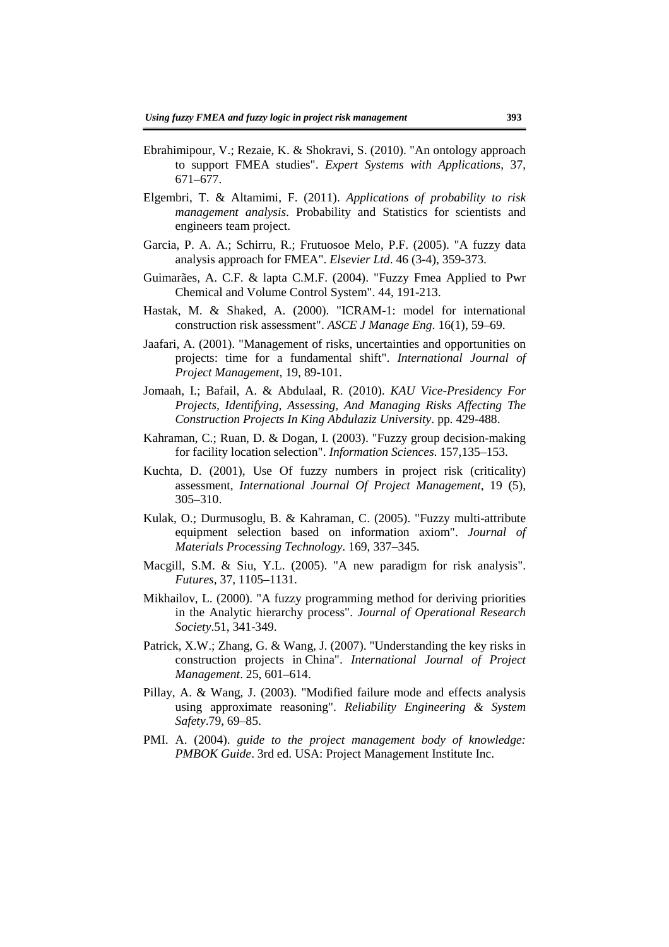- Ebrahimipour, V.; Rezaie, K. & Shokravi, S. (2010). "An ontology approach to support FMEA studies". *Expert Systems with Applications*, 37, 671–677.
- Elgembri, T. & Altamimi, F. (2011). *Applications of probability to risk management analysis*. Probability and Statistics for scientists and engineers team project.
- Garcia, P. A. A.; Schirru, R.; Frutuosoe Melo, P.F. (2005). "A fuzzy data analysis approach for FMEA". *Elsevier Ltd*. 46 (3-4), 359-373.
- Guimarães, A. C.F. & lapta C.M.F. (2004). "Fuzzy Fmea Applied to Pwr Chemical and Volume Control System". 44, 191-213.
- Hastak, M. & Shaked, A. (2000). "ICRAM-1: model for international construction risk assessment". *ASCE J Manage Eng*. 16(1), 59–69.
- Jaafari, A. (2001). "Management of risks, uncertainties and opportunities on projects: time for a fundamental shift". *International Journal of Project Management,* 19, 89-101.
- Jomaah, I.; Bafail, A. & Abdulaal, R. (2010). *KAU Vice-Presidency For Projects, Identifying, Assessing, And Managing Risks Affecting The Construction Projects In King Abdulaziz University*. pp. 429-488.
- Kahraman, C.; Ruan, D. & Dogan, I. (2003). "Fuzzy group decision-making for facility location selection". *Information Sciences*. 157,135–153.
- Kuchta, D. (2001), Use Of fuzzy numbers in project risk (criticality) assessment, *International Journal Of Project Management*, 19 (5), 305–310.
- Kulak, O.; Durmusoglu, B. & Kahraman, C. (2005). "Fuzzy multi-attribute equipment selection based on information axiom". *Journal of Materials Processing Technology*. 169, 337–345.
- Macgill, S.M. & Siu, Y.L. (2005). "A new paradigm for risk analysis". *Futures,* 37, 1105–1131.
- Mikhailov, L. (2000). "A fuzzy programming method for deriving priorities in the Analytic hierarchy process". *Journal of Operational Research Society*.51, 341-349.
- Patrick, X.W.; Zhang, G. & Wang, J. (2007). "Understanding the key risks in construction projects in China". *International Journal of Project Management*. 25, 601–614.
- Pillay, A. & Wang, J. (2003). "Modified failure mode and effects analysis using approximate reasoning". *Reliability Engineering & System Safety*.79, 69–85.
- PMI. A. (2004). *guide to the project management body of knowledge: PMBOK Guide*. 3rd ed. USA: Project Management Institute Inc.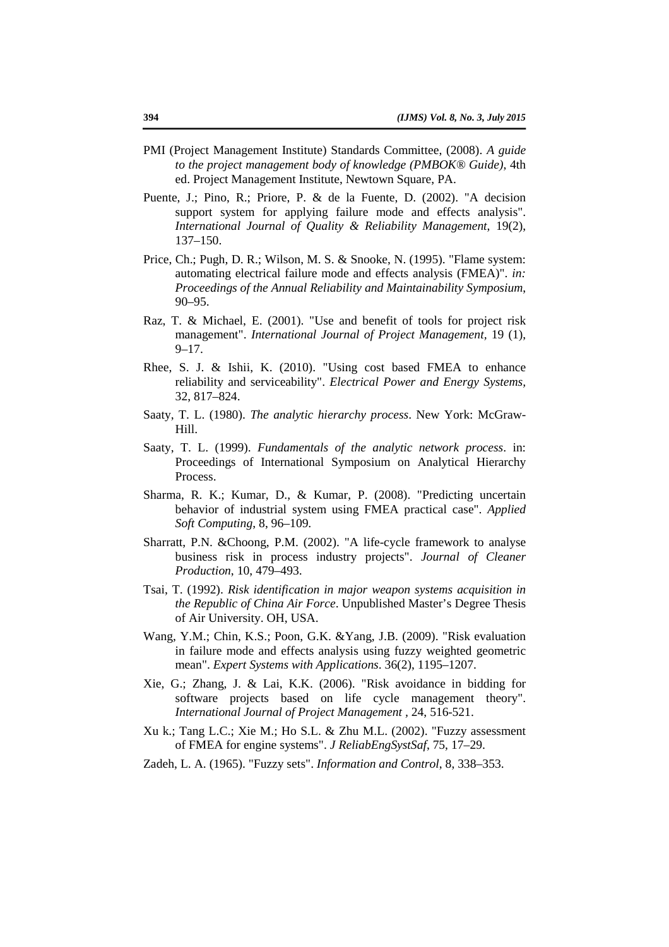- PMI (Project Management Institute) Standards Committee, (2008). *A guide to the project management body of knowledge (PMBOK® Guide)*, 4th ed. Project Management Institute, Newtown Square, PA.
- Puente, J.; Pino, R.; Priore, P. & de la Fuente, D. (2002). "A decision support system for applying failure mode and effects analysis". *International Journal of Quality & Reliability Management*, 19(2), 137–150.
- Price, Ch.; Pugh, D. R.; Wilson, M. S. & Snooke, N. (1995). "Flame system: automating electrical failure mode and effects analysis (FMEA)". *in: Proceedings of the Annual Reliability and Maintainability Symposium*, 90–95.
- Raz, T. & Michael, E. (2001). "Use and benefit of tools for project risk management". *International Journal of Project Management,* 19 (1), 9–17.
- Rhee, S. J. & Ishii, K. (2010). "Using cost based FMEA to enhance reliability and serviceability". *Electrical Power and Energy Systems,* 32, 817–824.
- Saaty, T. L. (1980). *The analytic hierarchy process*. New York: McGraw-Hill.
- Saaty, T. L. (1999). *Fundamentals of the analytic network process*. in: Proceedings of International Symposium on Analytical Hierarchy Process.
- Sharma, R. K.; Kumar, D., & Kumar, P. (2008). "Predicting uncertain behavior of industrial system using FMEA practical case". *Applied Soft Computing*, 8, 96–109.
- Sharratt, P.N. &Choong, P.M. (2002). "A life-cycle framework to analyse business risk in process industry projects". *Journal of Cleaner Production*, 10, 479–493.
- Tsai, T. (1992). *Risk identification in major weapon systems acquisition in the Republic of China Air Force*. Unpublished Master's Degree Thesis of Air University. OH, USA.
- Wang, Y.M.; Chin, K.S.; Poon, G.K. &Yang, J.B. (2009). "Risk evaluation in failure mode and effects analysis using fuzzy weighted geometric mean". *Expert Systems with Applications*. 36(2), 1195–1207.
- Xie, G.; Zhang, J. & Lai, K.K. (2006). "Risk avoidance in bidding for software projects based on life cycle management theory". *International Journal of Project Management ,* 24, 516-521.
- Xu k.; Tang L.C.; Xie M.; Ho S.L. & Zhu M.L. (2002). "Fuzzy assessment of FMEA for engine systems". *J ReliabEngSystSaf*, 75, 17–29.
- Zadeh, L. A. (1965). "Fuzzy sets". *Information and Control*, 8, 338–353.